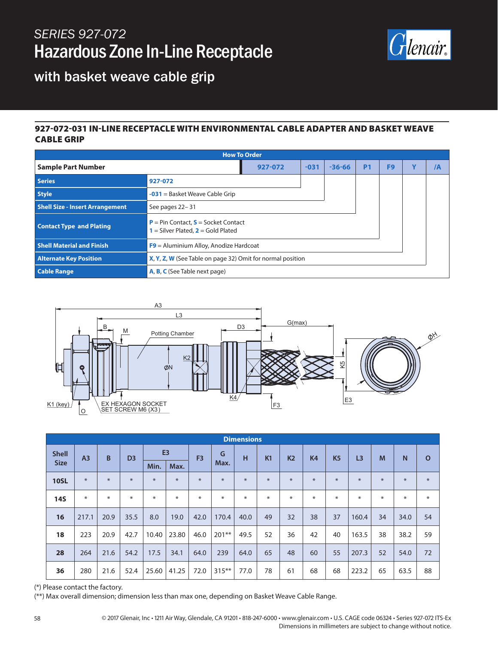## *SERIES 927-072* Hazardous Zone In-Line Receptacle



## with basket weave cable grip

#### 927-072-031 IN-LINE RECEPTACLE WITH ENVIRONMENTAL CABLE ADAPTER AND BASKET WEAVE CABLE GRIP

| <b>How To Order</b>                    |                                                                                        |        |            |                |                |   |    |  |  |
|----------------------------------------|----------------------------------------------------------------------------------------|--------|------------|----------------|----------------|---|----|--|--|
| <b>Sample Part Number</b>              | 927-072                                                                                | $-031$ | $-36 - 66$ | P <sub>1</sub> | F <sub>9</sub> | v | /A |  |  |
| <b>Series</b>                          | 927-072                                                                                |        |            |                |                |   |    |  |  |
| <b>Style</b>                           | $-031$ = Basket Weave Cable Grip                                                       |        |            |                |                |   |    |  |  |
| <b>Shell Size - Insert Arrangement</b> | See pages 22-31                                                                        |        |            |                |                |   |    |  |  |
| <b>Contact Type and Plating</b>        | <b>P</b> = Pin Contact, $S$ = Socket Contact<br>$1 =$ Silver Plated, $2 =$ Gold Plated |        |            |                |                |   |    |  |  |
| <b>Shell Material and Finish</b>       | $F9$ = Aluminium Alloy, Anodize Hardcoat                                               |        |            |                |                |   |    |  |  |
| <b>Alternate Key Position</b>          | X, Y, Z, W (See Table on page 32) Omit for normal position                             |        |            |                |                |   |    |  |  |
| <b>Cable Range</b>                     | A, B, C (See Table next page)                                                          |        |            |                |                |   |    |  |  |



| <b>Dimensions</b>           |                |        |                |                |        |                |          |      |     |                |                |           |                |     |      |              |
|-----------------------------|----------------|--------|----------------|----------------|--------|----------------|----------|------|-----|----------------|----------------|-----------|----------------|-----|------|--------------|
| <b>Shell</b><br><b>Size</b> | A <sub>3</sub> | B      | D <sub>3</sub> | E <sub>3</sub> |        | F <sub>3</sub> | G        | н    | K1  | K <sub>2</sub> | K <sub>4</sub> | <b>K5</b> | L <sub>3</sub> | M   | N    | $\mathbf{o}$ |
|                             |                |        |                | Min.           | Max.   |                | Max.     |      |     |                |                |           |                |     |      |              |
| <b>10SL</b>                 | $*$            | $\ast$ | $\ast$         | $*$            | $\ast$ | $*$            | $\ast$   | $*$  | $*$ | $*$            | $*$            | $*$       | $\ast$         | $*$ | $*$  | $\ast$       |
| <b>14S</b>                  | $\ast$         | ∗      | ⋇              | ∗              | $\ast$ | ⋇              | ∗        | $*$  | $*$ | ⋇              | $\ast$         | $\ast$    | ∗              | $*$ | $*$  | $\ast$       |
| 16                          | 217.1          | 20.9   | 35.5           | 8.0            | 19.0   | 42.0           | 170.4    | 40.0 | 49  | 32             | 38             | 37        | 160.4          | 34  | 34.0 | 54           |
| 18                          | 223            | 20.9   | 42.7           | 10.40          | 23.80  | 46.0           | $201***$ | 49.5 | 52  | 36             | 42             | 40        | 163.5          | 38  | 38.2 | 59           |
| 28                          | 264            | 21.6   | 54.2           | 17.5           | 34.1   | 64.0           | 239      | 64.0 | 65  | 48             | 60             | 55        | 207.3          | 52  | 54.0 | 72           |
| 36                          | 280            | 21.6   | 52.4           | 25.60          | 41.25  | 72.0           | $315***$ | 77.0 | 78  | 61             | 68             | 68        | 223.2          | 65  | 63.5 | 88           |

(\*) Please contact the factory.

(\*\*) Max overall dimension; dimension less than max one, depending on Basket Weave Cable Range.

58 © 2017 Glenair, Inc • 1211 Air Way, Glendale, CA 91201 • 818-247-6000 • www.glenair.com • U.S. CAGE code 06324 • Series 927-072 ITS-Ex Dimensions in millimeters are subject to change without notice.